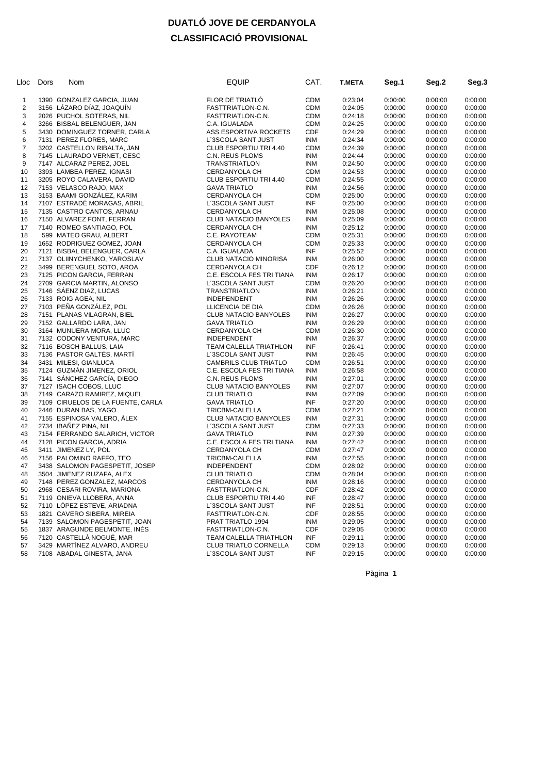### **DUATLÓ JOVE DE CERDANYOLA CLASSIFICACIÓ PROVISIONAL**

| Lloc                    | Dors | Nom                               | <b>EQUIP</b>                                | CAT.       | T.META  | Seg.1   | Seg.2   | Seg.3              |
|-------------------------|------|-----------------------------------|---------------------------------------------|------------|---------|---------|---------|--------------------|
| 1                       |      | 1390 GONZALEZ GARCIA, JUAN        | FLOR DE TRIATLÓ                             | <b>CDM</b> | 0:23:04 | 0:00:00 | 0:00:00 | 0:00:00            |
| $\overline{\mathbf{c}}$ |      | 3156 LÁZARO DÍAZ, JOAQUÍN         | FASTTRIATLON-C.N.                           | <b>CDM</b> | 0:24:05 | 0:00:00 | 0:00:00 | 0:00:00            |
| 3                       |      | 2026 PUCHOL SOTERAS, NIL          | FASTTRIATLON-C.N.                           | <b>CDM</b> | 0:24:18 | 0:00:00 | 0:00:00 | 0:00:00            |
| 4                       |      | 3266 BISBAL BELENGUER, JAN        | C.A. IGUALADA                               | <b>CDM</b> | 0:24:25 | 0:00:00 | 0:00:00 | 0:00:00            |
| 5                       |      | 3430 DOMINGUEZ TORNER, CARLA      | ASS ESPORTIVA ROCKETS                       | <b>CDF</b> | 0:24:29 | 0:00:00 | 0:00:00 | 0:00:00            |
| 6                       |      | 7131 PEREZ FLORES, MARC           | L'3SCOLA SANT JUST                          | <b>INM</b> | 0:24:34 | 0:00:00 |         | 0:00:00            |
| $\overline{7}$          |      |                                   |                                             | <b>CDM</b> |         |         | 0:00:00 |                    |
|                         |      | 3202 CASTELLON RIBALTA, JAN       | CLUB ESPORTIU TRI 4.40                      |            | 0:24:39 | 0:00:00 | 0:00:00 | 0:00:00            |
| 8                       |      | 7145 LLAURADO VERNET, CESC        | C.N. REUS PLOMS                             | <b>INM</b> | 0:24:44 | 0:00:00 | 0:00:00 | 0:00:00            |
| 9                       |      | 7147 ALCARAZ PEREZ, JOEL          | <b>TRANSTRIATLON</b>                        | <b>INM</b> | 0:24:50 | 0:00:00 | 0:00:00 | 0:00:00            |
| 10                      |      | 3393 LAMBEA PEREZ, IGNASI         | CERDANYOLA CH                               | <b>CDM</b> | 0:24:53 | 0:00:00 | 0:00:00 | 0:00:00            |
| 11                      |      | 3205 ROYO CALAVERA, DAVID         | CLUB ESPORTIU TRI 4.40                      | <b>CDM</b> | 0:24:55 | 0:00:00 | 0:00:00 | 0:00:00            |
| 12                      |      | 7153 VELASCO RAJO, MAX            | <b>GAVA TRIATLO</b>                         | <b>INM</b> | 0:24:56 | 0:00:00 | 0:00:00 | 0:00:00            |
| 13                      |      | 3153 BAAMI GONZALEZ, KARIM        | CERDANYOLA CH                               | <b>CDM</b> | 0:25:00 | 0:00:00 | 0:00:00 | 0:00:00            |
| 14                      |      | 7107 ESTRADE MORAGAS, ABRIL       | L'3SCOLA SANT JUST                          | INF        | 0:25:00 | 0:00:00 | 0:00:00 | 0:00:00            |
| 15                      |      | 7135 CASTRO CANTOS, ARNAU         | <b>CERDANYOLA CH</b>                        | <b>INM</b> | 0:25:08 | 0:00:00 | 0:00:00 | 0:00:00            |
| 16                      |      | 7150 ALVAREZ FONT, FERRAN         | CLUB NATACIO BANYOLES                       | INM        | 0:25:09 | 0:00:00 | 0:00:00 | 0:00:00            |
| 17                      |      | 7140 ROMEO SANTIAGO, POL          | CERDANYOLA CH                               | INM        | 0:25:12 | 0:00:00 | 0:00:00 | 0:00:00            |
| 18                      |      | 599 MATEO GRAU, ALBERT            | C.E. RAYOTEAM                               | <b>CDM</b> | 0:25:31 | 0:00:00 | 0:00:00 | 0:00:00            |
| 19                      |      | 1652 RODRIGUEZ GOMEZ, JOAN        | CERDANYOLA CH                               | <b>CDM</b> | 0:25:33 | 0:00:00 | 0:00:00 | 0:00:00            |
| 20                      |      | 7121 BISBAL BELENGUER, CARLA      | C.A. IGUALADA                               | INF        | 0:25:52 | 0:00:00 | 0:00:00 | 0:00:00            |
| 21                      |      | 7137 OLIINYCHENKO, YAROSLAV       | <b>CLUB NATACIO MINORISA</b>                | <b>INM</b> | 0:26:00 | 0:00:00 | 0:00:00 | 0:00:00            |
| 22                      |      | 3499 BERENGUEL SOTO, AROA         | CERDANYOLA CH                               | <b>CDF</b> | 0:26:12 | 0:00:00 | 0:00:00 | 0:00:00            |
| 23                      |      | 7125 PICON GARCIA, FERRAN         | C.E. ESCOLA FES TRI TIANA                   | <b>INM</b> | 0:26:17 | 0:00:00 | 0:00:00 | 0:00:00            |
| 24                      |      | 2709 GARCIA MARTIN, ALONSO        | L'3SCOLA SANT JUST                          | <b>CDM</b> | 0:26:20 | 0:00:00 | 0:00:00 | 0:00:00            |
| 25                      |      | 7146 SÁENZ DIAZ, LUCAS            | <b>TRANSTRIATLON</b>                        | <b>INM</b> | 0:26:21 | 0:00:00 | 0:00:00 | 0:00:00            |
| 26                      |      | 7133 ROIG AGEA, NIL               | <b>INDEPENDENT</b>                          | <b>INM</b> | 0:26:26 | 0:00:00 | 0:00:00 | 0:00:00            |
| 27                      |      | 7103 PENA GONZALEZ, POL           | LLICENCIA DE DIA                            | <b>CDM</b> | 0:26:26 | 0:00:00 | 0:00:00 | 0:00:00            |
| 28                      |      | 7151 PLANAS VILAGRAN, BIEL        | CLUB NATACIO BANYOLES                       | <b>INM</b> | 0:26:27 | 0:00:00 | 0:00:00 | 0:00:00            |
| 29                      |      | 7152 GALLARDO LARA, JAN           | <b>GAVA TRIATLO</b>                         | <b>INM</b> | 0:26:29 | 0:00:00 | 0:00:00 | 0:00:00            |
| 30                      |      | 3164 MUNUERA MORA, LLUC           | CERDANYOLA CH                               | <b>CDM</b> | 0:26:30 | 0:00:00 | 0:00:00 | 0:00:00            |
| 31                      |      | 7132 CODONY VENTURA, MARC         | <b>INDEPENDENT</b>                          | <b>INM</b> | 0:26:37 | 0:00:00 | 0:00:00 | 0:00:00            |
| 32                      |      | 7116 BOSCH BALLUS, LAIA           | TEAM CALELLA TRIATHLON                      | INF        | 0:26:41 | 0:00:00 | 0:00:00 | 0:00:00            |
| 33                      |      | 7136 PASTOR GALTÉS, MARTÍ         | L'3SCOLA SANT JUST                          | <b>INM</b> | 0:26:45 | 0:00:00 | 0:00:00 | 0:00:00            |
| 34                      |      | 3431 MILESI, GIANLUCA             | CAMBRILS CLUB TRIATLO                       | <b>CDM</b> | 0:26:51 | 0:00:00 | 0:00:00 | 0:00:00            |
| 35                      |      | 7124 GUZMÁN JIMENEZ, ORIOL        | C.E. ESCOLA FES TRI TIANA                   | <b>INM</b> | 0:26:58 | 0:00:00 | 0:00:00 | 0:00:00            |
| 36                      |      | 7141 SÁNCHEZ GARCÍA, DIEGO        | C.N. REUS PLOMS                             | <b>INM</b> | 0:27:01 | 0:00:00 | 0:00:00 | 0:00:00            |
| 37                      |      | 7127 ISACH COBOS, LLUC            | CLUB NATACIO BANYOLES                       | <b>INM</b> | 0:27:07 | 0:00:00 | 0:00:00 | 0:00:00            |
| 38                      |      | 7149 CARAZO RAMIREZ, MIQUEL       | <b>CLUB TRIATLO</b>                         | <b>INM</b> | 0:27:09 | 0:00:00 | 0:00:00 | 0:00:00            |
| 39                      |      | 7109 CIRUELOS DE LA FUENTE, CARLA | <b>GAVA TRIATLO</b>                         | INF        | 0:27:20 | 0:00:00 | 0:00:00 | 0:00:00            |
| 40                      |      | 2446 DURAN BAS, YAGO              | TRICBM-CALELLA                              | <b>CDM</b> |         | 0:00:00 |         | 0:00:00            |
| 41                      |      | 7155 ESPINOSA VALERO, ALEX        |                                             | <b>INM</b> | 0:27:21 |         | 0:00:00 |                    |
| 42                      |      | 2734 IBAÑEZ PINA, NIL             | CLUB NATACIO BANYOLES<br>L'3SCOLA SANT JUST | <b>CDM</b> | 0:27:31 | 0:00:00 | 0:00:00 | 0:00:00<br>0:00:00 |
|                         |      |                                   |                                             |            | 0:27:33 | 0:00:00 | 0:00:00 |                    |
| 43                      |      | 7154 FERRANDO SALARICH, VICTOR    | <b>GAVA TRIATLO</b>                         | <b>INM</b> | 0:27:39 | 0:00:00 | 0:00:00 | 0:00:00            |
| 44                      |      | 7128 PICON GARCIA, ADRIA          | C.E. ESCOLA FES TRI TIANA                   | <b>INM</b> | 0:27:42 | 0:00:00 | 0:00:00 | 0:00:00            |
| 45                      |      | 3411 JIMENEZ LY, POL              | CERDANYOLA CH                               | <b>CDM</b> | 0:27:47 | 0:00:00 | 0:00:00 | 0:00:00            |
| 46                      |      | 7156 PALOMINO RAFFO, TEO          | TRICBM-CALELLA                              | <b>INM</b> | 0:27:55 | 0:00:00 | 0:00:00 | 0:00:00            |
| 47                      |      | 3438 SALOMON PAGESPETIT, JOSEP    | <b>INDEPENDENT</b>                          | <b>CDM</b> | 0:28:02 | 0:00:00 | 0:00:00 | 0:00:00            |
| 48                      |      | 3504 JIMENEZ RUZAFA, ALEX         | <b>CLUB TRIATLO</b>                         | <b>CDM</b> | 0:28:04 | 0:00:00 | 0:00:00 | 0:00:00            |
| 49                      |      | 7148 PEREZ GONZALEZ, MARCOS       | CERDANYOLA CH                               | <b>INM</b> | 0:28:16 | 0:00:00 | 0:00:00 | 0:00:00            |
| 50                      |      | 2968 CESARI ROVIRA, MARIONA       | FASTTRIATLON-C.N.                           | <b>CDF</b> | 0:28:42 | 0:00:00 | 0:00:00 | 0:00:00            |
| 51                      |      | 7119 ONIEVA LLOBERA, ANNA         | CLUB ESPORTIU TRI 4.40                      | INF        | 0:28:47 | 0:00:00 | 0:00:00 | 0:00:00            |
| 52                      |      | 7110 LOPEZ ESTEVE, ARIADNA        | L'3SCOLA SANT JUST                          | INF        | 0:28:51 | 0:00:00 | 0:00:00 | 0:00:00            |
| 53                      |      | 1821 CAVERO SIBERA, MIREIA        | FASTTRIATLON-C.N.                           | <b>CDF</b> | 0:28:55 | 0:00:00 | 0:00:00 | 0:00:00            |
| 54                      |      | 7139 SALOMON PAGESPETIT, JOAN     | PRAT TRIATLO 1994                           | INM        | 0:29:05 | 0:00:00 | 0:00:00 | 0:00:00            |
| 55                      |      | 1837 ARAGUNDE BELMONTE, INES      | FASTTRIATLON-C.N.                           | <b>CDF</b> | 0:29:05 | 0:00:00 | 0:00:00 | 0:00:00            |
| 56                      |      | 7120 CASTELLÀ NOGUÉ, MAR          | <b>TEAM CALELLA TRIATHLON</b>               | INF        | 0:29:11 | 0:00:00 | 0:00:00 | 0:00:00            |
| 57                      |      | 3429 MARTINEZ ALVARO, ANDREU      | CLUB TRIATLO CORNELLA                       | <b>CDM</b> | 0:29:13 | 0:00:00 | 0:00:00 | 0:00:00            |
| 58                      |      | 7108 ABADAL GINESTA, JANA         | L'3SCOLA SANT JUST                          | <b>INF</b> | 0:29:15 | 0:00:00 | 0:00:00 | 0:00:00            |

Pàgina **1**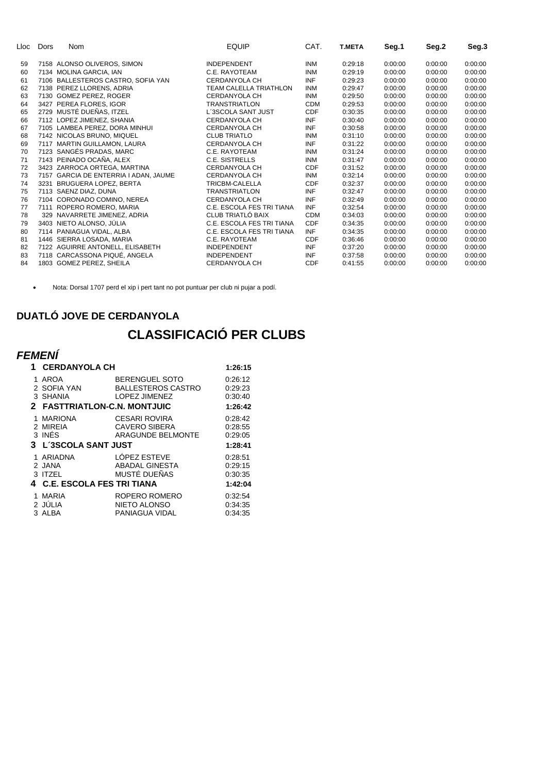| Lloc | Dors | <b>Nom</b>                            | <b>EQUIP</b>                  | CAT.       | <b>T.META</b> | Seg.1   | Seg.2   | Seg.3   |
|------|------|---------------------------------------|-------------------------------|------------|---------------|---------|---------|---------|
| 59   |      | 7158 ALONSO OLIVEROS, SIMON           | <b>INDEPENDENT</b>            | <b>INM</b> | 0:29:18       | 0:00:00 | 0:00:00 | 0:00:00 |
| 60   |      | 7134 MOLINA GARCIA, IAN               | C.E. RAYOTEAM                 | <b>INM</b> | 0:29:19       | 0:00:00 | 0:00:00 | 0:00:00 |
| 61   |      | 7106 BALLESTEROS CASTRO, SOFIA YAN    | <b>CERDANYOLA CH</b>          | <b>INF</b> | 0:29:23       | 0:00:00 | 0:00:00 | 0:00:00 |
| 62   |      | 7138 PEREZ LLORENS, ADRIA             | <b>TEAM CALELLA TRIATHLON</b> | <b>INM</b> | 0:29:47       | 0:00:00 | 0:00:00 | 0:00:00 |
| 63   |      | 7130 GOMEZ PEREZ, ROGER               | CERDANYOLA CH                 | <b>INM</b> | 0:29:50       | 0:00:00 | 0:00:00 | 0:00:00 |
| 64   |      | 3427 PEREA FLORES, IGOR               | <b>TRANSTRIATLON</b>          | <b>CDM</b> | 0:29:53       | 0:00:00 | 0:00:00 | 0:00:00 |
| 65   |      | 2729 MUSTÉ DUEÑAS, ITZEL              | L'3SCOLA SANT JUST            | <b>CDF</b> | 0:30:35       | 0:00:00 | 0:00:00 | 0:00:00 |
| 66   |      | 7112 LOPEZ JIMENEZ, SHANIA            | <b>CERDANYOLA CH</b>          | <b>INF</b> | 0:30:40       | 0:00:00 | 0:00:00 | 0:00:00 |
| 67   |      | 7105 LAMBEA PEREZ, DORA MINHUI        | <b>CERDANYOLA CH</b>          | <b>INF</b> | 0:30:58       | 0:00:00 | 0:00:00 | 0:00:00 |
| 68   |      | 7142 NICOLAS BRUNO, MIQUEL            | <b>CLUB TRIATLO</b>           | <b>INM</b> | 0:31:10       | 0:00:00 | 0:00:00 | 0:00:00 |
| 69   |      | 7117 MARTIN GUILLAMON, LAURA          | <b>CERDANYOLA CH</b>          | <b>INF</b> | 0:31:22       | 0:00:00 | 0:00:00 | 0:00:00 |
| 70   |      | 7123 SANGÉS PRADAS, MARC              | C.E. RAYOTEAM                 | <b>INM</b> | 0:31:24       | 0:00:00 | 0:00:00 | 0:00:00 |
| 71   |      | 7143 PEINADO OCAÑA, ALEX              | <b>C.E. SISTRELLS</b>         | <b>INM</b> | 0:31:47       | 0:00:00 | 0:00:00 | 0:00:00 |
| 72   |      | 3423 ZARROCA ORTEGA, MARTINA          | <b>CERDANYOLA CH</b>          | <b>CDF</b> | 0:31:52       | 0:00:00 | 0:00:00 | 0:00:00 |
| 73   |      | 7157 GARCIA DE ENTERRIA I ADAN, JAUME | CERDANYOLA CH                 | <b>INM</b> | 0:32:14       | 0:00:00 | 0:00:00 | 0:00:00 |
| 74   |      | 3231 BRUGUERA LOPEZ, BERTA            | <b>TRICBM-CALELLA</b>         | <b>CDF</b> | 0:32:37       | 0:00:00 | 0:00:00 | 0:00:00 |
| 75   |      | 7113 SAENZ DIAZ, DUNA                 | <b>TRANSTRIATLON</b>          | <b>INF</b> | 0:32:47       | 0:00:00 | 0:00:00 | 0:00:00 |
| 76   |      | 7104 CORONADO COMINO, NEREA           | CERDANYOLA CH                 | <b>INF</b> | 0:32:49       | 0:00:00 | 0:00:00 | 0:00:00 |
| 77   |      | 7111 ROPERO ROMERO, MARIA             | C.E. ESCOLA FES TRI TIANA     | <b>INF</b> | 0:32:54       | 0:00:00 | 0:00:00 | 0:00:00 |
| 78   |      | 329 NAVARRETE JIMENEZ, ADRIA          | CLUB TRIATLÓ BAIX             | <b>CDM</b> | 0:34:03       | 0:00:00 | 0:00:00 | 0:00:00 |
| 79   |      | 3403 NIETO ALONSO, JÚLIA              | C.E. ESCOLA FES TRI TIANA     | <b>CDF</b> | 0:34:35       | 0:00:00 | 0:00:00 | 0:00:00 |
| 80   |      | 7114 PANIAGUA VIDAL, ALBA             | C.E. ESCOLA FES TRI TIANA     | INF        | 0:34:35       | 0:00:00 | 0:00:00 | 0:00:00 |
| 81   |      | 1446 SIERRA LOSADA, MARIA             | C.E. RAYOTEAM                 | <b>CDF</b> | 0:36:46       | 0:00:00 | 0:00:00 | 0:00:00 |
| 82   |      | 7122 AGUIRRE ANTONELL, ELISABETH      | <b>INDEPENDENT</b>            | <b>INF</b> | 0:37:20       | 0:00:00 | 0:00:00 | 0:00:00 |
| 83   |      | 7118 CARCASSONA PIQUÉ, ANGELA         | <b>INDEPENDENT</b>            | <b>INF</b> | 0:37:58       | 0:00:00 | 0:00:00 | 0:00:00 |
| 84   |      | 1803 GOMEZ PEREZ, SHEILA              | <b>CERDANYOLA CH</b>          | <b>CDF</b> | 0:41:55       | 0:00:00 | 0:00:00 | 0:00:00 |

Nota: Dorsal 1707 perd el xip i pert tant no pot puntuar per club ni pujar a podí.

#### **DUATLÓ JOVE DE CERDANYOLA**

# **CLASSIFICACIÓ PER CLUBS**

# *FEMENÍ*

| 1 | <b>CERDANYOLA CH</b>                                            | 1:26:15                                                             |                                          |
|---|-----------------------------------------------------------------|---------------------------------------------------------------------|------------------------------------------|
|   | AROA<br>2 SOFIA YAN<br>3 SHANIA<br>2 FASTTRIATLON-C.N. MONTJUIC | <b>BERENGUEL SOTO</b><br><b>BALLESTEROS CASTRO</b><br>LOPEZ JIMENEZ | 0.26.12<br>0.29.23<br>0:30:40<br>1:26:42 |
|   | 1 MARIONA<br>2 MIREIA<br>3 INÉS<br>3 L'3SCOLA SANT JUST         | <b>CESARI ROVIRA</b><br><b>CAVERO SIBERA</b><br>ARAGUNDE BELMONTE   | 0:28:42<br>0:28:55<br>0.29.05<br>1:28:41 |
|   | 1 ARIADNA<br>2 JANA<br>3 ITZEL<br>4 C.E. ESCOLA FES TRI TIANA   | LÓPEZ ESTEVE<br><b>ABADAL GINESTA</b><br>MUSTÉ DUEÑAS               | 0.28:51<br>0:29:15<br>0:30:35<br>1:42:04 |
|   | MARIA<br>2 JÚLIA<br>3 ALBA                                      | ROPERO ROMERO<br><b>NIETO ALONSO</b><br>PANIAGUA VIDAL              | 0.32.54<br>0.34.35<br>0.34.35            |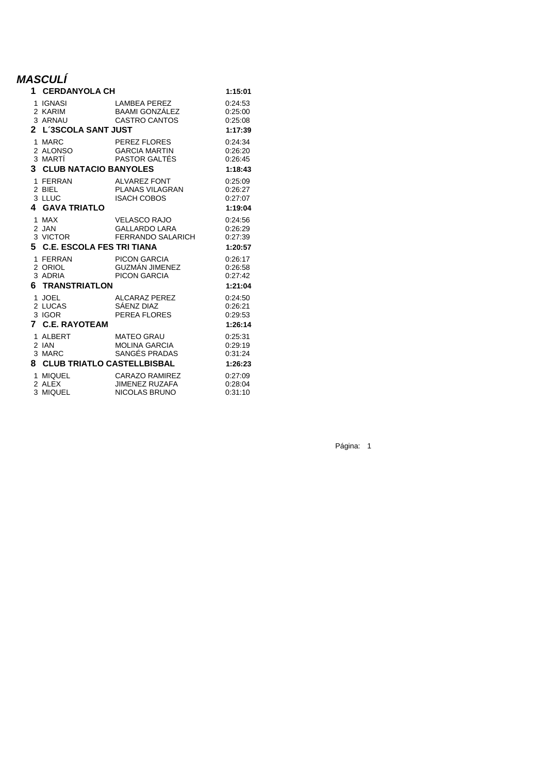## *MASCULÍ*

| 1      | <b>CERDANYOLA CH</b>                                        |                                                                  | 1:15:01                                  |
|--------|-------------------------------------------------------------|------------------------------------------------------------------|------------------------------------------|
|        | 1 IGNASI<br>2 KARIM<br>3 ARNAU<br>2 L'3SCOLA SANT JUST      | <b>LAMBEA PEREZ</b><br>BAAMI GONZÁLEZ<br><b>CASTRO CANTOS</b>    | 0:24:53<br>0:25:00<br>0:25:08<br>1:17:39 |
| 1<br>3 | MARC<br>2 ALONSO<br>3 MARTÍ<br><b>CLUB NATACIO BANYOLES</b> | PEREZ FLORES<br><b>GARCIA MARTIN</b><br>PASTOR GALTÉS            | 0:24:34<br>0:26:20<br>0:26:45<br>1:18:43 |
| 4      | 1 FERRAN<br>2 BIEL<br>3 LLUC<br><b>GAVA TRIATLO</b>         | <b>ALVAREZ FONT</b><br>PLANAS VILAGRAN<br><b>ISACH COBOS</b>     | 0:25:09<br>0:26:27<br>0:27:07<br>1:19:04 |
|        | 1 MAX<br>2 JAN<br>3 VICTOR<br>5 C.E. ESCOLA FES TRI TIANA   | <b>VELASCO RAJO</b><br><b>GALLARDO LARA</b><br>FERRANDO SALARICH | 0:24:56<br>0:26:29<br>0:27:39<br>1:20:57 |
| 6.     | 1 FERRAN<br>2 ORIOL<br>3 ADRIA<br><b>TRANSTRIATLON</b>      | <b>PICON GARCIA</b><br>GUZMÁN JIMENEZ<br>PICON GARCIA            | 0:26:17<br>0:26:58<br>0:27:42<br>1:21:04 |
| 7      | 1 JOEL<br>2 LUCAS<br>3 IGOR<br><b>C.E. RAYOTEAM</b>         | <b>ALCARAZ PEREZ</b><br>SÁENZ DIAZ<br>PEREA FLORES               | 0:24:50<br>0:26:21<br>0:29:53<br>1:26:14 |
| 1      |                                                             |                                                                  |                                          |
|        | ALBERT<br>2 IAN<br>3 MARC<br>8 CLUB TRIATLO CASTELLBISBAL   | <b>MATEO GRAU</b><br><b>MOLINA GARCIA</b><br>SANGÉS PRADAS       | 0:25:31<br>0:29:19<br>0:31:24<br>1:26:23 |

Página: 1